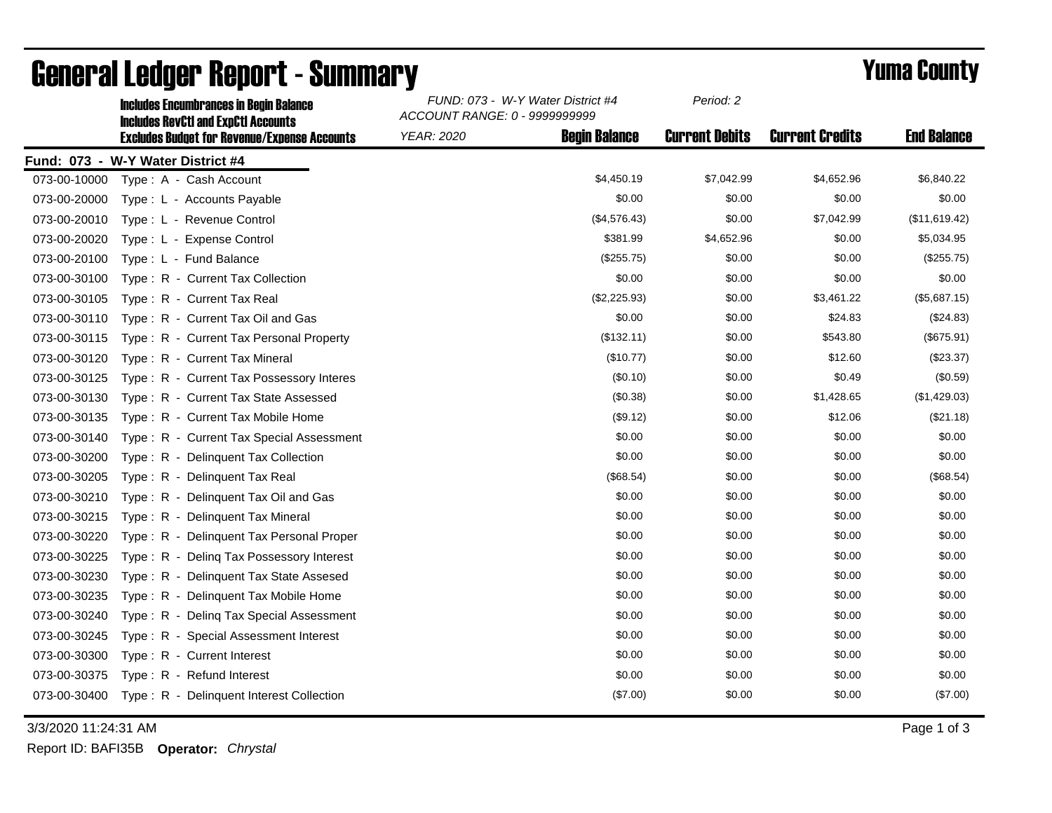|              | <b>Includes Encumbrances in Begin Balance</b><br><b>Includes RevCtI and ExpCtI Accounts</b> | FUND: 073 - W-Y Water District #4<br>ACCOUNT RANGE: 0 - 9999999999 |                      | Period: 2             |                        |                    |
|--------------|---------------------------------------------------------------------------------------------|--------------------------------------------------------------------|----------------------|-----------------------|------------------------|--------------------|
|              | <b>Excludes Budget for Revenue/Expense Accounts</b>                                         | <b>YEAR: 2020</b>                                                  | <b>Begin Balance</b> | <b>Current Debits</b> | <b>Current Credits</b> | <b>End Balance</b> |
|              | Fund: 073 - W-Y Water District #4                                                           |                                                                    |                      |                       |                        |                    |
| 073-00-10000 | Type: A - Cash Account                                                                      |                                                                    | \$4,450.19           | \$7,042.99            | \$4,652.96             | \$6,840.22         |
| 073-00-20000 | Type: L - Accounts Payable                                                                  |                                                                    | \$0.00               | \$0.00                | \$0.00                 | \$0.00             |
| 073-00-20010 | Type: L - Revenue Control                                                                   |                                                                    | (\$4,576.43)         | \$0.00                | \$7,042.99             | (\$11,619.42)      |
| 073-00-20020 | Type: L - Expense Control                                                                   |                                                                    | \$381.99             | \$4,652.96            | \$0.00                 | \$5,034.95         |
| 073-00-20100 | Type: L - Fund Balance                                                                      |                                                                    | (\$255.75)           | \$0.00                | \$0.00                 | (\$255.75)         |
| 073-00-30100 | Type: R - Current Tax Collection                                                            |                                                                    | \$0.00               | \$0.00                | \$0.00                 | \$0.00             |
| 073-00-30105 | Type: R - Current Tax Real                                                                  |                                                                    | (\$2,225.93)         | \$0.00                | \$3,461.22             | (\$5,687.15)       |
| 073-00-30110 | Type: R - Current Tax Oil and Gas                                                           |                                                                    | \$0.00               | \$0.00                | \$24.83                | (\$24.83)          |
| 073-00-30115 | Type: R - Current Tax Personal Property                                                     |                                                                    | (\$132.11)           | \$0.00                | \$543.80               | (\$675.91)         |
| 073-00-30120 | Type: R - Current Tax Mineral                                                               |                                                                    | (\$10.77)            | \$0.00                | \$12.60                | $(\$23.37)$        |
| 073-00-30125 | Type: R - Current Tax Possessory Interes                                                    |                                                                    | (\$0.10)             | \$0.00                | \$0.49                 | (\$0.59)           |
| 073-00-30130 | Type: R - Current Tax State Assessed                                                        |                                                                    | (\$0.38)             | \$0.00                | \$1,428.65             | (\$1,429.03)       |
| 073-00-30135 | Type: R - Current Tax Mobile Home                                                           |                                                                    | (\$9.12)             | \$0.00                | \$12.06                | (\$21.18)          |
| 073-00-30140 | Type: R - Current Tax Special Assessment                                                    |                                                                    | \$0.00               | \$0.00                | \$0.00                 | \$0.00             |
| 073-00-30200 | Type: R - Delinquent Tax Collection                                                         |                                                                    | \$0.00               | \$0.00                | \$0.00                 | \$0.00             |
| 073-00-30205 | Type: R - Delinguent Tax Real                                                               |                                                                    | (\$68.54)            | \$0.00                | \$0.00                 | (\$68.54)          |
| 073-00-30210 | Type: R - Delinquent Tax Oil and Gas                                                        |                                                                    | \$0.00               | \$0.00                | \$0.00                 | \$0.00             |
| 073-00-30215 | Type: R - Delinguent Tax Mineral                                                            |                                                                    | \$0.00               | \$0.00                | \$0.00                 | \$0.00             |
| 073-00-30220 | Type: R - Delinquent Tax Personal Proper                                                    |                                                                    | \$0.00               | \$0.00                | \$0.00                 | \$0.00             |
| 073-00-30225 | Type: R - Deling Tax Possessory Interest                                                    |                                                                    | \$0.00               | \$0.00                | \$0.00                 | \$0.00             |
| 073-00-30230 | Type: R - Delinquent Tax State Assesed                                                      |                                                                    | \$0.00               | \$0.00                | \$0.00                 | \$0.00             |
| 073-00-30235 | Type: R - Delinquent Tax Mobile Home                                                        |                                                                    | \$0.00               | \$0.00                | \$0.00                 | \$0.00             |
| 073-00-30240 | Type: R - Deling Tax Special Assessment                                                     |                                                                    | \$0.00               | \$0.00                | \$0.00                 | \$0.00             |
| 073-00-30245 | Type: R - Special Assessment Interest                                                       |                                                                    | \$0.00               | \$0.00                | \$0.00                 | \$0.00             |
| 073-00-30300 | Type: R - Current Interest                                                                  |                                                                    | \$0.00               | \$0.00                | \$0.00                 | \$0.00             |
| 073-00-30375 | Type: R - Refund Interest                                                                   |                                                                    | \$0.00               | \$0.00                | \$0.00                 | \$0.00             |
| 073-00-30400 | Type: R - Delinquent Interest Collection                                                    |                                                                    | (\$7.00)             | \$0.00                | \$0.00                 | (\$7.00)           |

## General Ledger Report - Summary **Example 2018** Yuma County

3/3/2020 11:24:31 AM Page 1 of 3

Report ID: BAFI35B **Operator:** *Chrystal*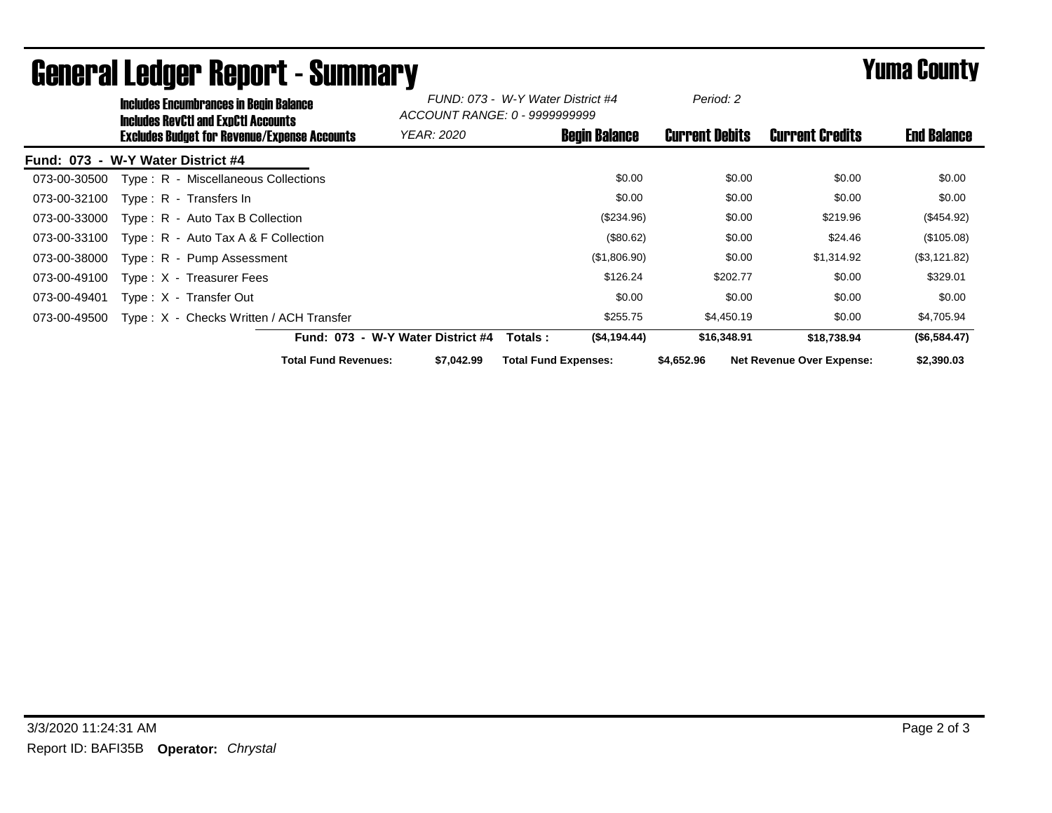|              | <b>Includes Encumbrances in Begin Balance</b><br><b>Includes RevCtI and ExpCtI Accounts</b> |                                                     | FUND: 073 - W-Y Water District #4<br>ACCOUNT RANGE: 0 - 99999999999 |                             | Period: 2             |                                  |                    |
|--------------|---------------------------------------------------------------------------------------------|-----------------------------------------------------|---------------------------------------------------------------------|-----------------------------|-----------------------|----------------------------------|--------------------|
|              |                                                                                             | <b>Excludes Budget for Revenue/Expense Accounts</b> | <b>YEAR: 2020</b>                                                   | <b>Begin Balance</b>        | <b>Current Debits</b> | <b>Current Credits</b>           | <b>End Balance</b> |
|              | Fund: 073 - W-Y Water District #4                                                           |                                                     |                                                                     |                             |                       |                                  |                    |
| 073-00-30500 |                                                                                             | Type: R - Miscellaneous Collections                 |                                                                     | \$0.00                      | \$0.00                | \$0.00                           | \$0.00             |
| 073-00-32100 | Type: R - Transfers In                                                                      |                                                     |                                                                     | \$0.00                      | \$0.00                | \$0.00                           | \$0.00             |
| 073-00-33000 | $Type: R - Auto Tax B Collection$                                                           |                                                     |                                                                     | (\$234.96)                  | \$0.00                | \$219.96                         | $(\$454.92)$       |
| 073-00-33100 |                                                                                             | Type: $R -$ Auto Tax A & F Collection               |                                                                     | (\$80.62)                   | \$0.00                | \$24.46                          | (\$105.08)         |
| 073-00-38000 | Type: R - Pump Assessment                                                                   |                                                     |                                                                     | (\$1,806.90)                | \$0.00                | \$1,314.92                       | (\$3,121.82)       |
| 073-00-49100 | Type: X - Treasurer Fees                                                                    |                                                     |                                                                     | \$126.24                    | \$202.77              | \$0.00                           | \$329.01           |
| 073-00-49401 | Type: X - Transfer Out                                                                      |                                                     |                                                                     | \$0.00                      | \$0.00                | \$0.00                           | \$0.00             |
| 073-00-49500 |                                                                                             | Type: X - Checks Written / ACH Transfer             |                                                                     | \$255.75                    | \$4,450.19            | \$0.00                           | \$4,705.94         |
|              |                                                                                             |                                                     | Fund: 073 - W-Y Water District #4                                   | ( \$4,194.44)<br>Totals :   | \$16,348.91           | \$18,738.94                      | (\$6,584.47)       |
|              |                                                                                             | <b>Total Fund Revenues:</b>                         | \$7.042.99                                                          | <b>Total Fund Expenses:</b> | \$4,652.96            | <b>Net Revenue Over Expense:</b> | \$2,390.03         |

## General Ledger Report - Summary **Example 2018** Yuma County